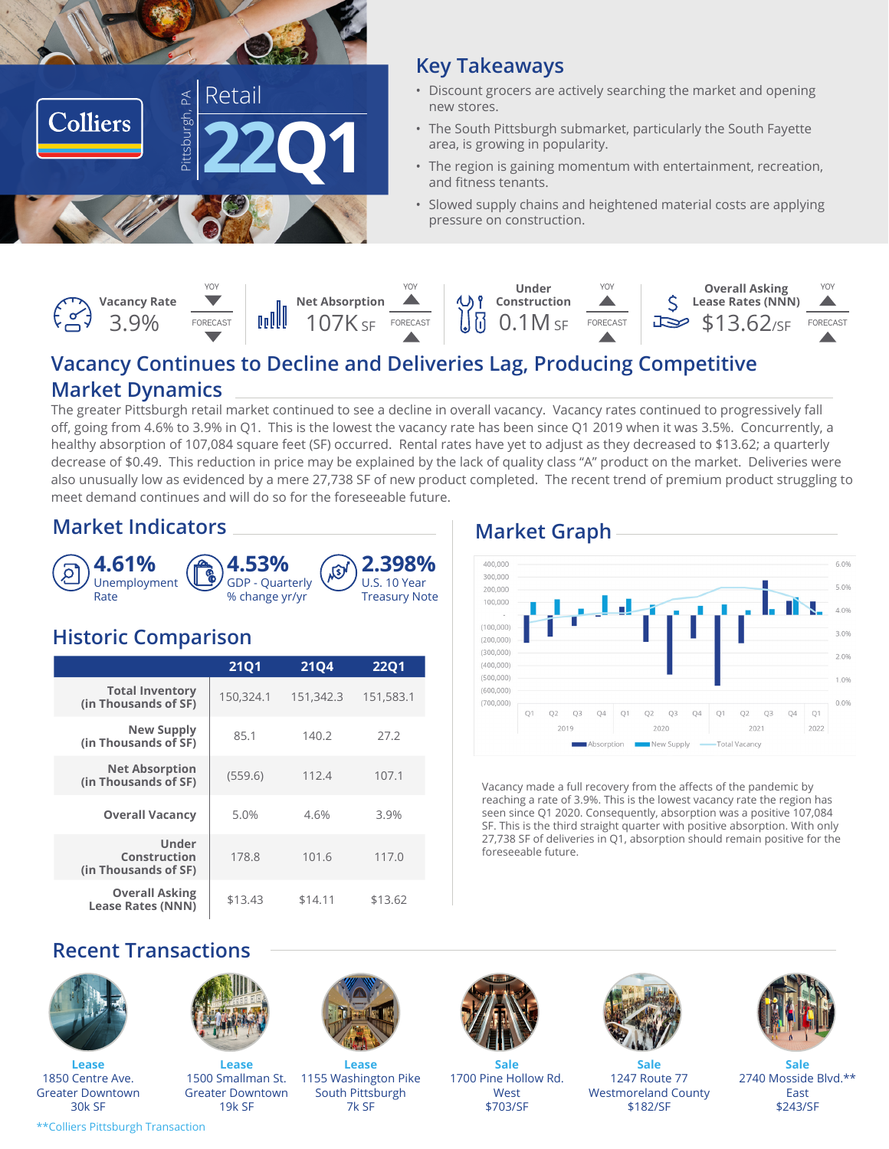

#### **Key Takeaways**

- Discount grocers are actively searching the market and opening new stores.
- The South Pittsburgh submarket, particularly the South Fayette area, is growing in popularity.
- The region is gaining momentum with entertainment, recreation, and fitness tenants.
- Slowed supply chains and heightened material costs are applying pressure on construction.

|  | Vacancy Rate |          |  |                                                                                                     | <b>USP</b> | Undei<br>Construction          |          | <b>Overall Asking</b><br>Lease Rates (NNN) |          |
|--|--------------|----------|--|-----------------------------------------------------------------------------------------------------|------------|--------------------------------|----------|--------------------------------------------|----------|
|  | 39%          | FORECAST |  | $\begin{array}{c} \begin{array}{c} \text{Net Absorption} \\ \text{107K} \\ \end{array} \end{array}$ | FORECAST   | $\bigcup \overline{0}$ 0.1M sf | FORECAST | $\Rightarrow$ \$13.62/sF                   | FORECAST |

#### **Vacancy Continues to Decline and Deliveries Lag, Producing Competitive Market Dynamics**

The greater Pittsburgh retail market continued to see a decline in overall vacancy. Vacancy rates continued to progressively fall off, going from 4.6% to 3.9% in Q1. This is the lowest the vacancy rate has been since Q1 2019 when it was 3.5%. Concurrently, a healthy absorption of 107,084 square feet (SF) occurred. Rental rates have yet to adjust as they decreased to \$13.62; a quarterly decrease of \$0.49. This reduction in price may be explained by the lack of quality class "A" product on the market. Deliveries were also unusually low as evidenced by a mere 27,738 SF of new product completed. The recent trend of premium product struggling to meet demand continues and will do so for the foreseeable future.

#### **Market Indicators Market Graph**



#### **Historic Comparison**

|                                                   | <b>21Q1</b> | <b>21Q4</b> | <b>2201</b> |  |
|---------------------------------------------------|-------------|-------------|-------------|--|
| <b>Total Inventory</b><br>(in Thousands of SF)    | 150,324.1   | 151,342.3   | 151,583.1   |  |
| <b>New Supply</b><br>(in Thousands of SF)         | 85.1        | 140.2       | 27.2        |  |
| <b>Net Absorption</b><br>(in Thousands of SF)     | (559.6)     | 112.4       | 107.1       |  |
| <b>Overall Vacancy</b>                            | 5.0%        | 4.6%        | 3.9%        |  |
| Under<br>Construction<br>(in Thousands of SF)     | 178.8       | 101.6       | 117.0       |  |
| <b>Overall Asking</b><br><b>Lease Rates (NNN)</b> | \$13.43     | \$14.11     | \$13.62     |  |



Vacancy made a full recovery from the affects of the pandemic by reaching a rate of 3.9%. This is the lowest vacancy rate the region has seen since Q1 2020. Consequently, absorption was a positive 107,084 SF. This is the third straight quarter with positive absorption. With only 27,738 SF of deliveries in Q1, absorption should remain positive for the foreseeable future.

#### **Recent Transactions**

![](_page_0_Picture_17.jpeg)

**Lease** 1850 Centre Ave. Greater Downtown 30k SF

![](_page_0_Picture_19.jpeg)

**Lease** 1500 Smallman St. Greater Downtown 19k SF

![](_page_0_Picture_21.jpeg)

**Lease** 1155 Washington Pike South Pittsburgh 7k SF

![](_page_0_Picture_23.jpeg)

**Sale** 1700 Pine Hollow Rd. West \$703/SF

![](_page_0_Picture_25.jpeg)

**Sale** 1247 Route 77 Westmoreland County \$182/SF

![](_page_0_Picture_27.jpeg)

**Sale** 2740 Mosside Blvd.\*\* East \$243/SF

\*\*Colliers Pittsburgh Transaction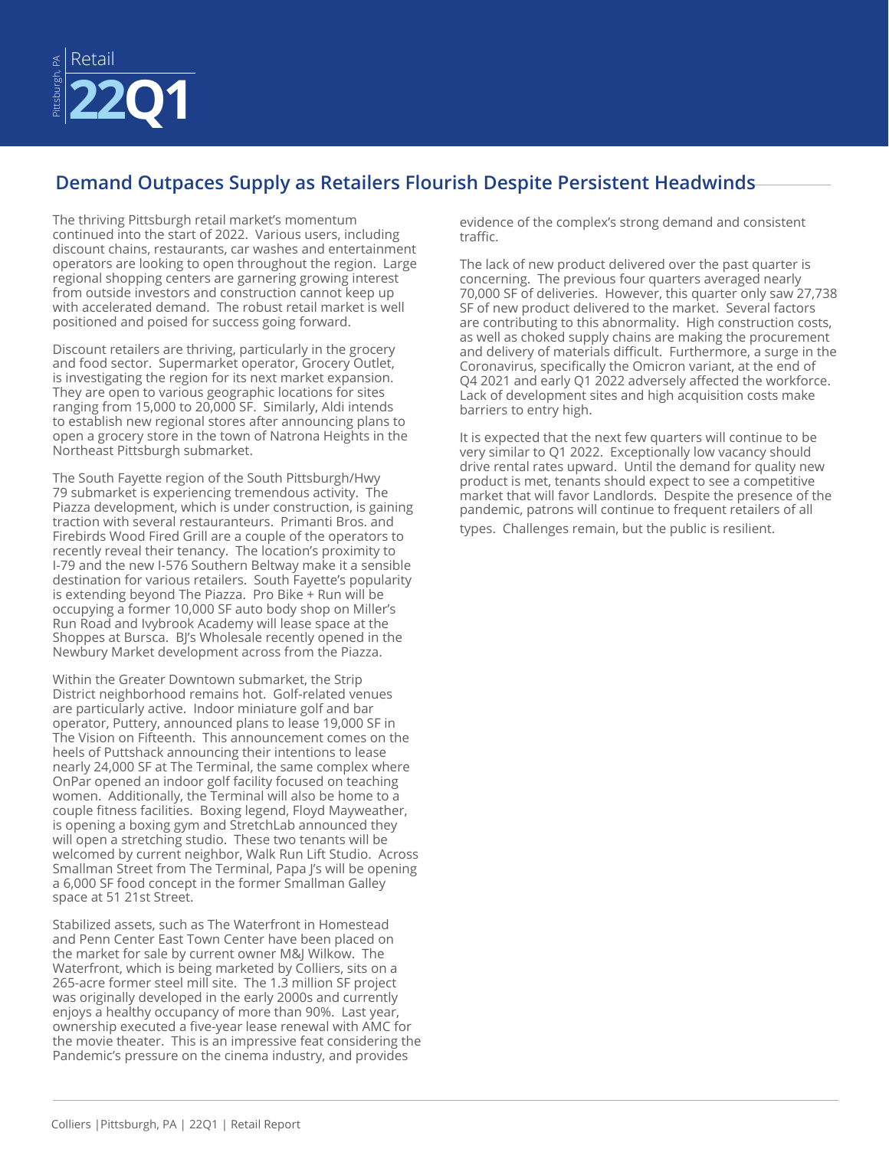![](_page_1_Picture_0.jpeg)

#### **Demand Outpaces Supply as Retailers Flourish Despite Persistent Headwinds**

The thriving Pittsburgh retail market's momentum continued into the start of 2022. Various users, including discount chains, restaurants, car washes and entertainment operators are looking to open throughout the region. Large regional shopping centers are garnering growing interest from outside investors and construction cannot keep up with accelerated demand. The robust retail market is well positioned and poised for success going forward.

Discount retailers are thriving, particularly in the grocery and food sector. Supermarket operator, Grocery Outlet, is investigating the region for its next market expansion. They are open to various geographic locations for sites ranging from 15,000 to 20,000 SF. Similarly, Aldi intends to establish new regional stores after announcing plans to open a grocery store in the town of Natrona Heights in the Northeast Pittsburgh submarket.

The South Fayette region of the South Pittsburgh/Hwy 79 submarket is experiencing tremendous activity. The Piazza development, which is under construction, is gaining traction with several restauranteurs. Primanti Bros. and Firebirds Wood Fired Grill are a couple of the operators to recently reveal their tenancy. The location's proximity to I-79 and the new I-576 Southern Beltway make it a sensible destination for various retailers. South Fayette's popularity is extending beyond The Piazza. Pro Bike + Run will be occupying a former 10,000 SF auto body shop on Miller's Run Road and Ivybrook Academy will lease space at the Shoppes at Bursca. BJ's Wholesale recently opened in the Newbury Market development across from the Piazza.

Within the Greater Downtown submarket, the Strip District neighborhood remains hot. Golf-related venues are particularly active. Indoor miniature golf and bar operator, Puttery, announced plans to lease 19,000 SF in The Vision on Fifteenth. This announcement comes on the heels of Puttshack announcing their intentions to lease nearly 24,000 SF at The Terminal, the same complex where OnPar opened an indoor golf facility focused on teaching women. Additionally, the Terminal will also be home to a couple fitness facilities. Boxing legend, Floyd Mayweather, is opening a boxing gym and StretchLab announced they will open a stretching studio. These two tenants will be welcomed by current neighbor, Walk Run Lift Studio. Across Smallman Street from The Terminal, Papa J's will be opening a 6,000 SF food concept in the former Smallman Galley space at 51 21st Street.

Stabilized assets, such as The Waterfront in Homestead and Penn Center East Town Center have been placed on the market for sale by current owner M&J Wilkow. The Waterfront, which is being marketed by Colliers, sits on a 265-acre former steel mill site. The 1.3 million SF project was originally developed in the early 2000s and currently enjoys a healthy occupancy of more than 90%. Last year, ownership executed a five-year lease renewal with AMC for the movie theater. This is an impressive feat considering the Pandemic's pressure on the cinema industry, and provides

evidence of the complex's strong demand and consistent traffic.

The lack of new product delivered over the past quarter is concerning. The previous four quarters averaged nearly 70,000 SF of deliveries. However, this quarter only saw 27,738 SF of new product delivered to the market. Several factors are contributing to this abnormality. High construction costs, as well as choked supply chains are making the procurement and delivery of materials difficult. Furthermore, a surge in the Coronavirus, specifically the Omicron variant, at the end of Q4 2021 and early Q1 2022 adversely affected the workforce. Lack of development sites and high acquisition costs make barriers to entry high.

It is expected that the next few quarters will continue to be very similar to Q1 2022. Exceptionally low vacancy should drive rental rates upward. Until the demand for quality new product is met, tenants should expect to see a competitive market that will favor Landlords. Despite the presence of the pandemic, patrons will continue to frequent retailers of all types. Challenges remain, but the public is resilient.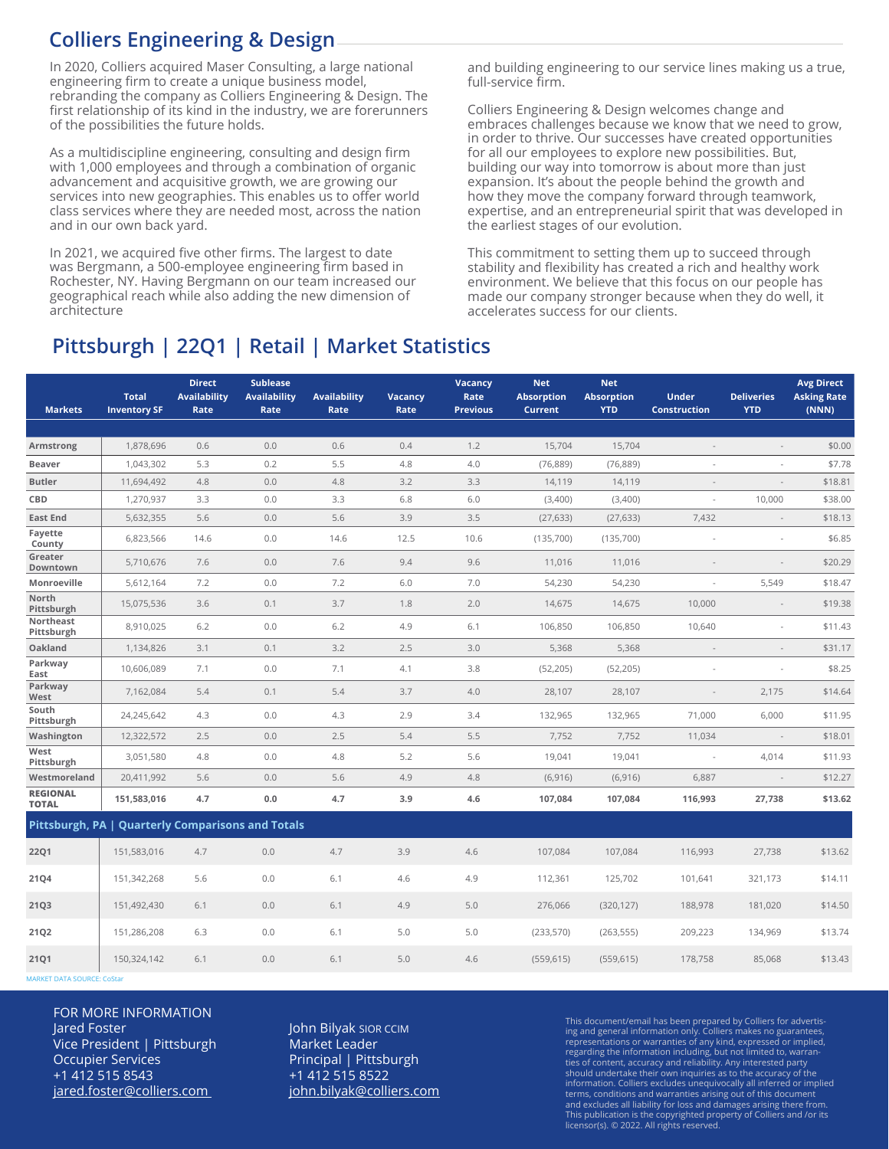#### **Colliers Engineering & Design**

In 2020, Colliers acquired Maser Consulting, a large national engineering firm to create a unique business model, rebranding the company as Colliers Engineering & Design. The first relationship of its kind in the industry, we are forerunners of the possibilities the future holds.

As a multidiscipline engineering, consulting and design firm with 1,000 employees and through a combination of organic advancement and acquisitive growth, we are growing our services into new geographies. This enables us to offer world class services where they are needed most, across the nation and in our own back yard.

In 2021, we acquired five other firms. The largest to date was Bergmann, a 500-employee engineering firm based in Rochester, NY. Having Bergmann on our team increased our geographical reach while also adding the new dimension of architecture

and building engineering to our service lines making us a true, full-service firm.

Colliers Engineering & Design welcomes change and embraces challenges because we know that we need to grow, in order to thrive. Our successes have created opportunities for all our employees to explore new possibilities. But, building our way into tomorrow is about more than just expansion. It's about the people behind the growth and how they move the company forward through teamwork, expertise, and an entrepreneurial spirit that was developed in the earliest stages of our evolution.

This commitment to setting them up to succeed through stability and flexibility has created a rich and healthy work environment. We believe that this focus on our people has made our company stronger because when they do well, it accelerates success for our clients.

### **Pittsburgh | 22Q1 | Retail | Market Statistics**

| <b>Markets</b>                                    | <b>Total</b><br><b>Inventory SF</b> | <b>Direct</b><br><b>Availability</b><br>Rate | <b>Sublease</b><br><b>Availability</b><br>Rate | <b>Availability</b><br>Rate | Vacancy<br>Rate | Vacancy<br>Rate<br><b>Previous</b> | <b>Net</b><br><b>Absorption</b><br><b>Current</b> | <b>Net</b><br><b>Absorption</b><br><b>YTD</b> | <b>Under</b><br><b>Construction</b> | <b>Deliveries</b><br><b>YTD</b> | <b>Avg Direct</b><br><b>Asking Rate</b><br>(NNN) |
|---------------------------------------------------|-------------------------------------|----------------------------------------------|------------------------------------------------|-----------------------------|-----------------|------------------------------------|---------------------------------------------------|-----------------------------------------------|-------------------------------------|---------------------------------|--------------------------------------------------|
|                                                   |                                     |                                              |                                                |                             |                 |                                    |                                                   |                                               |                                     |                                 |                                                  |
| Armstrong                                         | 1,878,696                           | 0.6                                          | 0.0                                            | 0.6                         | 0.4             | 1.2                                | 15,704                                            | 15,704                                        | $\sim$                              | $\overline{\phantom{a}}$        | \$0.00                                           |
| <b>Beaver</b>                                     | 1,043,302                           | 5.3                                          | 0.2                                            | 5.5                         | 4.8             | 4.0                                | (76, 889)                                         | (76, 889)                                     |                                     | L,                              | \$7.78                                           |
| <b>Butler</b>                                     | 11,694,492                          | 4.8                                          | 0.0                                            | 4.8                         | 3.2             | 3.3                                | 14,119                                            | 14,119                                        |                                     | $\overline{\phantom{a}}$        | \$18.81                                          |
| CBD                                               | 1,270,937                           | 3.3                                          | 0.0                                            | 3.3                         | 6.8             | 6.0                                | (3,400)                                           | (3,400)                                       |                                     | 10,000                          | \$38.00                                          |
| <b>East End</b><br>Fayette                        | 5,632,355                           | 5.6                                          | 0.0                                            | 5.6                         | 3.9             | 3.5                                | (27, 633)                                         | (27, 633)                                     | 7,432                               | $\overline{\phantom{a}}$        | \$18.13                                          |
| County                                            | 6,823,566                           | 14.6                                         | 0.0                                            | 14.6                        | 12.5            | 10.6                               | (135,700)                                         | (135,700)                                     |                                     | ÷,                              | \$6.85                                           |
| Greater<br>Downtown                               | 5,710,676                           | 7.6                                          | 0.0                                            | 7.6                         | 9.4             | 9.6                                | 11,016                                            | 11,016                                        |                                     | $\overline{a}$                  | \$20.29                                          |
| Monroeville                                       | 5,612,164                           | 7.2                                          | 0.0                                            | 7.2                         | 6.0             | 7.0                                | 54,230                                            | 54,230                                        | $\overline{\phantom{a}}$            | 5,549                           | \$18.47                                          |
| North<br>Pittsburgh                               | 15,075,536                          | 3.6                                          | 0.1                                            | 3.7                         | 1.8             | 2.0                                | 14,675                                            | 14,675                                        | 10,000                              | $\sim$                          | \$19.38                                          |
| Northeast<br>Pittsburgh                           | 8,910,025                           | 6.2                                          | 0.0                                            | 6.2                         | 4.9             | 6.1                                | 106,850                                           | 106,850                                       | 10,640                              | $\overline{\phantom{a}}$        | \$11.43                                          |
| Oakland                                           | 1,134,826                           | 3.1                                          | 0.1                                            | 3.2                         | 2.5             | 3.0                                | 5,368                                             | 5,368                                         | $\sim$                              | $\overline{\phantom{a}}$        | \$31.17                                          |
| Parkway<br>East                                   | 10,606,089                          | 7.1                                          | 0.0                                            | 7.1                         | 4.1             | 3.8                                | (52, 205)                                         | (52, 205)                                     |                                     | ÷,                              | \$8.25                                           |
| Parkway<br>West                                   | 7,162,084                           | 5.4                                          | 0.1                                            | 5.4                         | 3.7             | 4.0                                | 28,107                                            | 28,107                                        |                                     | 2,175                           | \$14.64                                          |
| South<br>Pittsburgh                               | 24,245,642                          | 4.3                                          | 0.0                                            | 4.3                         | 2.9             | 3.4                                | 132,965                                           | 132,965                                       | 71,000                              | 6,000                           | \$11.95                                          |
| Washington                                        | 12,322,572                          | 2.5                                          | 0.0                                            | 2.5                         | 5.4             | 5.5                                | 7,752                                             | 7,752                                         | 11,034                              | $\overline{\phantom{a}}$        | \$18.01                                          |
| West<br>Pittsburgh                                | 3,051,580                           | 4.8                                          | 0.0                                            | 4.8                         | 5.2             | 5.6                                | 19,041                                            | 19,041                                        | ÷.                                  | 4,014                           | \$11.93                                          |
| Westmoreland                                      | 20,411,992                          | 5.6                                          | 0.0                                            | 5.6                         | 4.9             | 4.8                                | (6, 916)                                          | (6, 916)                                      | 6,887                               | $\frac{1}{2}$                   | \$12.27                                          |
| <b>REGIONAL</b><br><b>TOTAL</b>                   | 151,583,016                         | 4.7                                          | 0.0                                            | 4.7                         | 3.9             | 4.6                                | 107,084                                           | 107,084                                       | 116,993                             | 27,738                          | \$13.62                                          |
| Pittsburgh, PA   Quarterly Comparisons and Totals |                                     |                                              |                                                |                             |                 |                                    |                                                   |                                               |                                     |                                 |                                                  |
| 22Q1                                              | 151,583,016                         | 4.7                                          | 0.0                                            | 4.7                         | 3.9             | 4.6                                | 107,084                                           | 107,084                                       | 116,993                             | 27,738                          | \$13.62                                          |
| 21Q4                                              | 151,342,268                         | 5.6                                          | 0.0                                            | 6.1                         | 4.6             | 4.9                                | 112,361                                           | 125,702                                       | 101,641                             | 321,173                         | \$14.11                                          |
| <b>21Q3</b>                                       | 151,492,430                         | 6.1                                          | 0.0                                            | 6.1                         | 4.9             | 5.0                                | 276,066                                           | (320, 127)                                    | 188,978                             | 181,020                         | \$14.50                                          |
| 21Q2                                              | 151,286,208                         | 6.3                                          | 0.0                                            | 6.1                         | 5.0             | 5.0                                | (233, 570)                                        | (263, 555)                                    | 209,223                             | 134,969                         | \$13.74                                          |
| 21Q1                                              | 150,324,142                         | 6.1                                          | 0.0                                            | 6.1                         | 5.0             | 4.6                                | (559, 615)                                        | (559, 615)                                    | 178,758                             | 85,068                          | \$13.43                                          |

MARKET DATA SOURCE: CoStar

FOR MORE INFORMATION Jared Foster Vice President | Pittsburgh Occupier Services +1 412 515 8543 jared.foster@colliers.com

John Bilyak SIOR CCIM Market Leader Principal | Pittsburgh +1 412 515 8522 john.bilyak@colliers.com This document/email has been prepared by Colliers for advertising and general information only. Colliers makes no guarantees, representations or warranties of any kind, expressed or implied, regarding the information including, but not limited to, warran-ties of content, accuracy and reliability. Any interested party should undertake their own inquiries as to the accuracy of the information. Colliers excludes unequivocally all inferred or implied terms, conditions and warranties arising out of this document and excludes all liability for loss and damages arising there from. This publication is the copyrighted property of Colliers and /or its licensor(s). © 2022. All rights reserved.